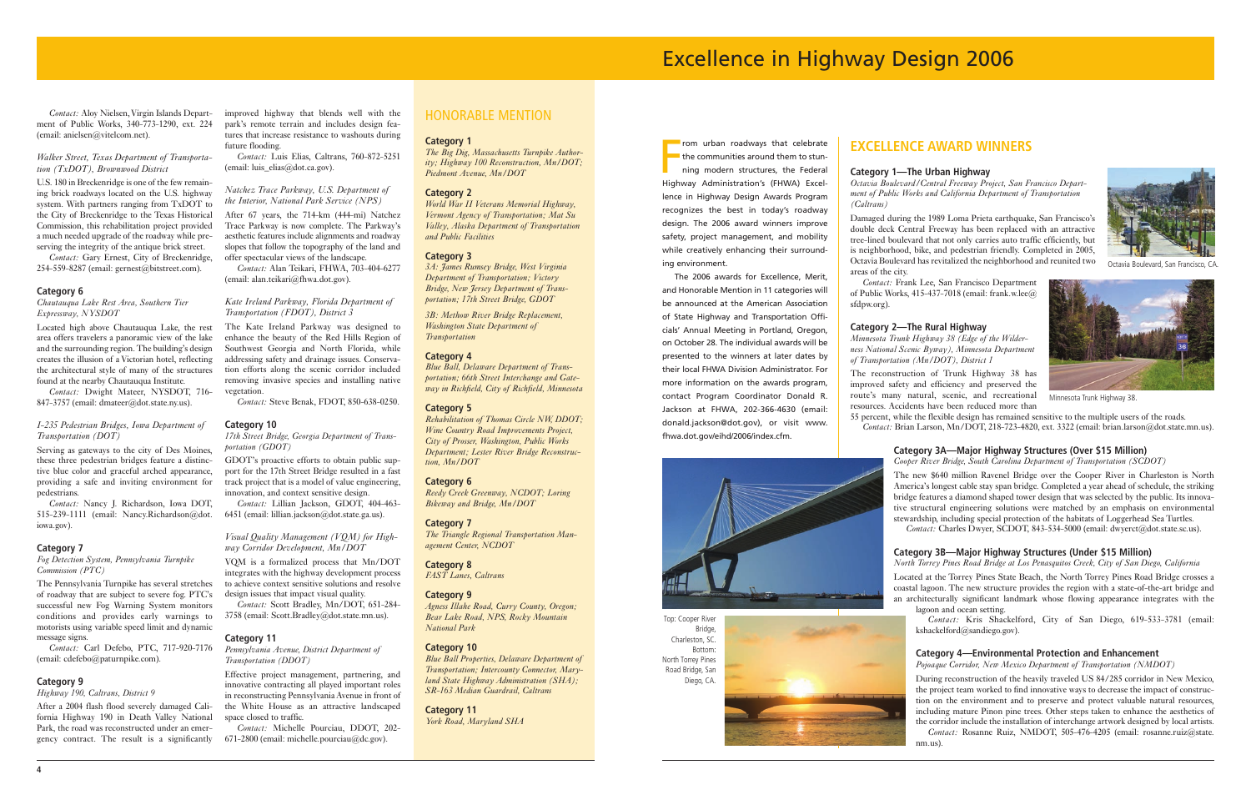# **EXCELLENCE AWARD WINNERS**

**Category 1—The Urban Highway** *Octavia Boulevard/Central Freeway Project, San Francisco Department of Public Works and California Department of Transportation*

*(Caltrans)* Damaged during the 1989 Loma Prieta earthquake, San Francisco's double deck Central Freeway has been replaced with an attractive tree-lined boulevard that not only carries auto traffic efficiently, but is neighborhood, bike, and pedestrian friendly. Completed in 2005, Octavia Boulevard has revitalized the neighborhood and reunited two areas of the city.

*Contact:* Frank Lee, San Francisco Department of Public Works, 415-437-7018 (email: frank.w.lee@

sfdpw.org).

# **Category 2—The Rural Highway** *Minnesota Trunk Highway 38 (Edge of the Wilderness National Scenic Byway), Minnesota Department of Transportation (Mn/DOT), District 1* The reconstruction of Trunk Highway 38 has improved safety and efficiency and preserved the route's many natural, scenic, and recreational resources. Accidents have been reduced more than

55 percent, while the flexible design has remained sensitive to the multiple users of the roads. *Contact:* Brian Larson, Mn/DOT, 218-723-4820, ext. 3322 (email: brian.larson@dot.state.mn.us).

# **Category 3A—Major Highway Structures (Over \$15 Million)**

*Contact:* Rosanne Ruiz, NMDOT, 505-476-4205 (email: rosanne.ruiz@state.  $nm$ .us).

*Cooper River Bridge, South Carolina Department of Transportation (SCDOT)* The new \$640 million Ravenel Bridge over the Cooper River in Charleston is North America's longest cable stay span bridge. Completed a year ahead of schedule, the striking bridge features a diamond shaped tower design that was selected by the public. Its innovative structural engineering solutions were matched by an emphasis on environmental stewardship, including special protection of the habitats of Loggerhead Sea Turtles. *Contact:* Charles Dwyer, SCDOT, 843-534-5000 (email: dwyerct@dot.state.sc.us).

# **Category 3B—Major Highway Structures (Under \$15 Million)**

*North Torrey Pines Road Bridge at Los Penasquitos Creek, City of San Diego, California*

Located at the Torrey Pines State Beach, the North Torrey Pines Road Bridge crosses a coastal lagoon. The new structure provides the region with a state-of-the-art bridge and an architecturally significant landmark whose flowing appearance integrates with the lagoon and ocean setting.

*Contact:* Kris Shackelford, City of San Diego, 619-533-3781 (email:

kshackelford@sandiego.gov). **Category 4—Environmental Protection and Enhancement** *Pojoaque Corridor, New Mexico Department of Transportation (NMDOT)* During reconstruction of the heavily traveled US 84/285 corridor in New Mexico, the project team worked to find innovative ways to decrease the impact of construction on the environment and to preserve and protect valuable natural resources, including mature Pinon pine trees. Other steps taken to enhance the aesthetics of the corridor include the installation of interchange artwork designed by local artists.

# Excellence in Highway Design 2006

*Contact:* Aloy Nielsen, Virgin Islands Department of Public Works, 340-773-1290, ext. 224 (email: anielsen@vitelcom.net).

# *Walker Street, Texas Department of Transportation (TxDOT), Brownwood District*

U.S. 180 in Breckenridge is one of the few remaining brick roadways located on the U.S. highway system. With partners ranging from TxDOT to the City of Breckenridge to the Texas Historical Commission, this rehabilitation project provided a much needed upgrade of the roadway while preserving the integrity of the antique brick street.

*Contact:* Gary Ernest, City of Breckenridge, 254-559-8287 (email: gernest@bitstreet.com).

# **Category 6**

*Chautauqua Lake Rest Area, Southern Tier Expressway, NYSDOT*

Located high above Chautauqua Lake, the rest area offers travelers a panoramic view of the lake and the surrounding region. The building's design creates the illusion of a Victorian hotel, reflecting the architectural style of many of the structures found at the nearby Chautauqua Institute.

*Contact:* Dwight Mateer, NYSDOT, 716- 847-3757 (email: dmateer@dot.state.ny.us).

# *I-235 Pedestrian Bridges, Iowa Department of Transportation (DOT)*

Serving as gateways to the city of Des Moines, these three pedestrian bridges feature a distinctive blue color and graceful arched appearance, providing a safe and inviting environment for pedestrians.

*Contact:* Nancy J. Richardson, Iowa DOT, 515-239-1111 (email: Nancy.Richardson@dot. iowa.gov).

# **Category 7**

*Fog Detection System, Pennsylvania Turnpike Commission (PTC)*

# From urban roadways that celebrate<br>The communities around them to stun-<br>ning modern structures, the Federal Highway Administration's (FHWA) Excellence in Highway Design Awards Program recognizes the best in today's roadway design. The 2006 award winners improve safety, project management, and mobility while creatively enhancing their surround-

The Pennsylvania Turnpike has several stretches of roadway that are subject to severe fog. PTC's successful new Fog Warning System monitors conditions and provides early warnings to motorists using variable speed limit and dynamic message signs.

*Contact:* Carl Defebo, PTC, 717-920-7176 (email: cdefebo@paturnpike.com).

## **Category 9**

# *Highway 190, Caltrans, District 9*

After a 2004 flash flood severely damaged California Highway 190 in Death Valley National Park, the road was reconstructed under an emergency contract. The result is a significantly

improved highway that blends well with the park's remote terrain and includes design features that increase resistance to washouts during future flooding.

*Contact:* Luis Elias, Caltrans, 760-872-5251 (email: luis\_elias@dot.ca.gov).

# *Natchez Trace Parkway, U.S. Department of the Interior, National Park Service (NPS)*

After 67 years, the 714-km (444-mi) Natchez Trace Parkway is now complete. The Parkway's aesthetic features include alignments and roadway slopes that follow the topography of the land and offer spectacular views of the landscape.

*Contact:* Alan Teikari, FHWA, 703-404-6277 (email: alan.teikari@fhwa.dot.gov).

# *Kate Ireland Parkway, Florida Department of Transportation (FDOT), District 3*

The Kate Ireland Parkway was designed to enhance the beauty of the Red Hills Region of Southwest Georgia and North Florida, while addressing safety and drainage issues. Conservation efforts along the scenic corridor included removing invasive species and installing native vegetation.

*Contact:* Steve Benak, FDOT, 850-638-0250.

# **Category 10**

*17th Street Bridge, Georgia Department of Transportation (GDOT)*

GDOT's proactive efforts to obtain public support for the 17th Street Bridge resulted in a fast track project that is a model of value engineering, innovation, and context sensitive design.

*Contact:* Lillian Jackson, GDOT, 404-463- 6451 (email: lillian.jackson@dot.state.ga.us).

*Visual Quality Management (VQM) for Highway Corridor Development, Mn/DOT*

> VQM is a formalized process that Mn/DOT integrates with the highway development process to achieve context sensitive solutions and resolve design issues that impact visual quality.

*Contact:* Scott Bradley, Mn/DOT, 651-284- 3758 (email: Scott.Bradley@dot.state.mn.us).

# **Category 11**

*Pennsylvania Avenue, District Department of Transportation (DDOT)*

Effective project management, partnering, and innovative contracting all played important roles in reconstructing Pennsylvania Avenue in front of the White House as an attractive landscaped space closed to traffic.

*Contact:* Michelle Pourciau, DDOT, 202- 671-2800 (email: michelle.pourciau@dc.gov).

# HONORABLE MENTION

# **Category 1**

*The Big Dig, Massachusetts Turnpike Authority; Highway 100 Reconstruction, Mn/DOT; Piedmont Avenue, Mn/DOT*

## **Category 2**

*World War II Veterans Memorial Highway, Vermont Agency of Transportation; Mat Su Valley, Alaska Department of Transportation and Public Facilities*

### **Category 3**

*3A: James Rumsey Bridge, West Virginia Department of Transportation; Victory Bridge, New Jersey Department of Transportation; 17th Street Bridge, GDOT*

*3B: Methow River Bridge Replacement, Washington State Department of Transportation*

### **Category 4**

*Blue Ball, Delaware Department of Transportation; 66th Street Interchange and Gateway in Richfield, City of Richfield, Minnesota*

### **Category 5**

*Rehabilitation of Thomas Circle NW, DDOT; Wine Country Road Improvements Project, City of Prosser, Washington, Public Works Department; Lester River Bridge Reconstruction, Mn/DOT*

# **Category 6**

*Reedy Creek Greenway, NCDOT; Loring Bikeway and Bridge, Mn/DOT*

# **Category 7**

*The Triangle Regional Transportation Management Center, NCDOT*

# **Category 8**

*FAST Lanes, Caltrans*

# **Category 9**

*Agness Illahe Road, Curry County, Oregon; Bear Lake Road, NPS, Rocky Mountain National Park*

# **Category 10**

*Blue Ball Properties, Delaware Department of Transportation; Intercounty Connector, Maryland State Highway Administration (SHA); SR-163 Median Guardrail, Caltrans*

# **Category 11**

*York Road, Maryland SHA*





Minnesota Trunk Highway 38.

Top: Cooper River Bridge, Charleston, SC. Bottom: North Torrey Pines Road Bridge, San Diego, CA.

ing environment.



The 2006 awards for Excellence, Merit, and Honorable Mention in 11 categories will be announced at the American Association of State Highway and Transportation Officials' Annual Meeting in Portland, Oregon, on October 28. The individual awards will be presented to the winners at later dates by their local FHWA Division Administrator. For more information on the awards program, contact Program Coordinator Donald R. Jackson at FHWA, 202-366-4630 (email: donald.jackson@dot.gov), or visit www. fhwa.dot.gov/eihd/2006/index.cfm.